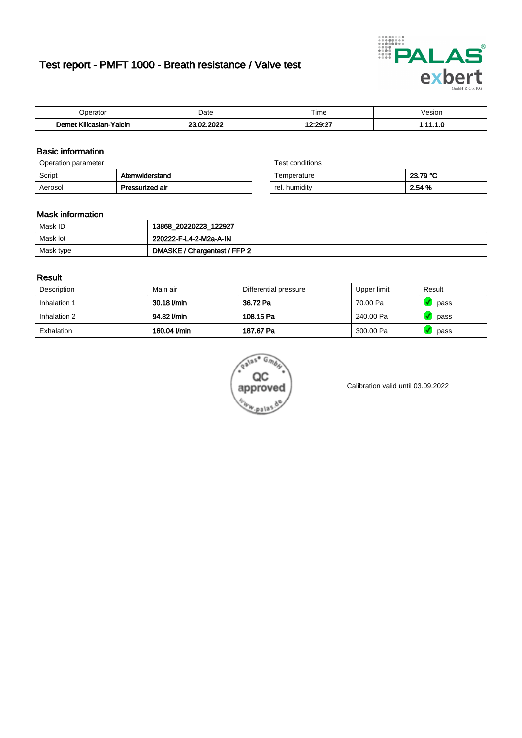# Test report - PMFT 1000 - Breath resistance / Valve test



| berator                                              | Date       | $- \cdot$<br>⊺ime      | /esior   |
|------------------------------------------------------|------------|------------------------|----------|
| <b>LAND</b><br><b>Yalcin</b><br>'eme∙<br>Kilicaslan- | 23.02.2022 | $12.20 - 27$<br>.<br>. | .<br>. . |

### Basic information

| Operation parameter      |                 | Test conditions |          |
|--------------------------|-----------------|-----------------|----------|
| Atemwiderstand<br>Script |                 | Temperature     | 23.79 °C |
| Aerosol                  | Pressurized air | rel. humidity   | 2.54 %   |

| Test conditions |          |
|-----------------|----------|
| Temperature     | 23.79 °C |
| rel. humidity   | 2.54 %   |

#### Mask information

| Mask ID   | 13868_20220223_122927        |
|-----------|------------------------------|
| Mask lot  | 220222-F-L4-2-M2a-A-IN       |
| Mask type | DMASKE / Chargentest / FFP 2 |

### Result

| Description  | Main air     | Differential pressure | Upper limit | Result |
|--------------|--------------|-----------------------|-------------|--------|
| Inhalation 1 | 30.18 l/min  | 36.72 Pa              | 70.00 Pa    | pass   |
| Inhalation 2 | 94.82 l/min  | 108.15 Pa             | 240.00 Pa   | pass   |
| Exhalation   | 160.04 l/min | 187.67 Pa             | 300.00 Pa   | pass   |



Calibration valid until 03.09.2022